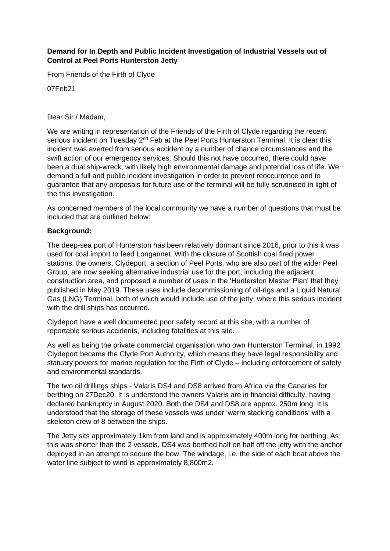### **Demand for In Depth and Public Incident Investigation of Industrial Vessels out of Control at Peel Ports Hunterston Jetty**

From Friends of the Firth of Clyde

07Feb21

#### Dear Sir / Madam,

We are writing in representation of the Friends of the Firth of Clyde regarding the recent serious incident on Tuesday 2<sup>nd</sup> Feb at the Peel Ports Hunterston Terminal. It is clear this incident was averted from serious accident by a number of chance circumstances and the swift action of our emergency services. Should this not have occurred, there could have been a dual ship-wreck, with likely high environmental damage and potential loss of life. We demand a full and public incident investigation in order to prevent reoccurrence and to guarantee that any proposals for future use of the terminal will be fully scrutinised in light of the this investigation.

As concerned members of the local community we have a number of questions that must be included that are outlined below:

### **Background:**

The deep-sea port of Hunterston has been relatively dormant since 2016, prior to this it was used for coal import to feed Longannet. With the closure of Scottish coal fired power stations, the owners, Clydeport, a section of Peel Ports, who are also part of the wider Peel Group, are now seeking alternative industrial use for the port, including the adjacent construction area, and proposed a number of uses in the 'Hunterston Master Plan' that they published in May 2019. These uses include decommissioning of oil-rigs and a Liquid Natural Gas (LNG) Terminal, both of which would include use of the jetty, where this serious incident with the drill ships has occurred.

Clydeport have a well documented poor safety record at this site, with a number of reportable serious accidents, including fatalities at this site.

As well as being the private commercial organisation who own Hunterston Terminal, in 1992 Clydeport became the Clyde Port Authority, which means they have legal responsibility and statuary powers for marine regulation for the Firth of Clyde – including enforcement of safety and environmental standards.

The two oil drillings ships - Valaris DS4 and DS8 arrived from Africa via the Canaries for berthing on 27Dec20. It is understood the owners Valaris are in financial difficulty, having declared bankruptcy in August 2020. Both the DS4 and DS8 are approx. 250m long. It is understood that the storage of these vessels was under 'warm stacking conditions' with a skeleton crew of 8 between the ships.

The Jetty sits approximately 1km from land and is approximately 400m long for berthing. As this was shorter than the 2 vessels, DS4 was berthed half on half off the jetty with the anchor deployed in an attempt to secure the bow. The windage, i.e. the side of each boat above the water line subject to wind is approximately 8,800m2.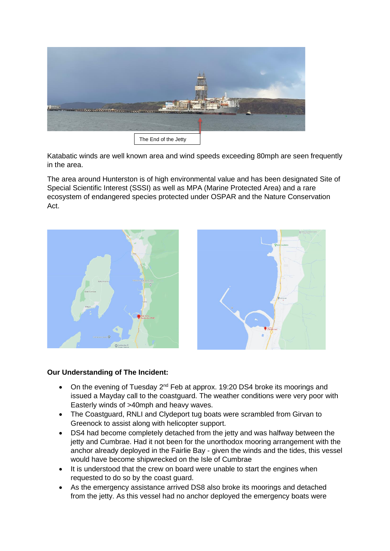

Katabatic winds are well known area and wind speeds exceeding 80mph are seen frequently in the area.

The area around Hunterston is of high environmental value and has been designated Site of Special Scientific Interest (SSSI) as well as MPA (Marine Protected Area) and a rare ecosystem of endangered species protected under OSPAR and the Nature Conservation Act.



# **Our Understanding of The Incident:**

- On the evening of Tuesday  $2^{nd}$  Feb at approx. 19:20 DS4 broke its moorings and issued a Mayday call to the coastguard. The weather conditions were very poor with Easterly winds of >40mph and heavy waves.
- The Coastguard, RNLI and Clydeport tug boats were scrambled from Girvan to Greenock to assist along with helicopter support.
- DS4 had become completely detached from the jetty and was halfway between the jetty and Cumbrae. Had it not been for the unorthodox mooring arrangement with the anchor already deployed in the Fairlie Bay - given the winds and the tides, this vessel would have become shipwrecked on the Isle of Cumbrae
- It is understood that the crew on board were unable to start the engines when requested to do so by the coast guard.
- As the emergency assistance arrived DS8 also broke its moorings and detached from the jetty. As this vessel had no anchor deployed the emergency boats were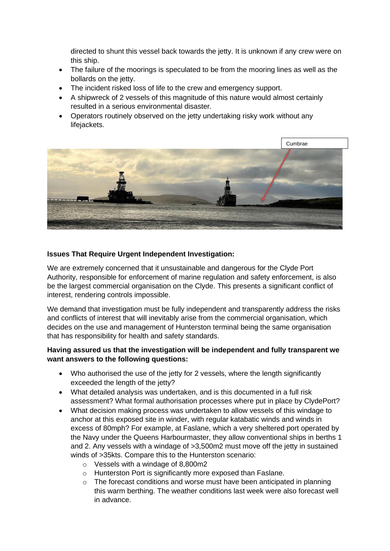directed to shunt this vessel back towards the jetty. It is unknown if any crew were on this ship.

- The failure of the moorings is speculated to be from the mooring lines as well as the bollards on the jetty.
- The incident risked loss of life to the crew and emergency support.
- A shipwreck of 2 vessels of this magnitude of this nature would almost certainly resulted in a serious environmental disaster.
- Operators routinely observed on the jetty undertaking risky work without any lifejackets.



## **Issues That Require Urgent Independent Investigation:**

We are extremely concerned that it unsustainable and dangerous for the Clyde Port Authority, responsible for enforcement of marine regulation and safety enforcement, is also be the largest commercial organisation on the Clyde. This presents a significant conflict of interest, rendering controls impossible.

We demand that investigation must be fully independent and transparently address the risks and conflicts of interest that will inevitably arise from the commercial organisation, which decides on the use and management of Hunterston terminal being the same organisation that has responsibility for health and safety standards.

## **Having assured us that the investigation will be independent and fully transparent we want answers to the following questions:**

- Who authorised the use of the jetty for 2 vessels, where the length significantly exceeded the length of the jetty?
- What detailed analysis was undertaken, and is this documented in a full risk assessment? What formal authorisation processes where put in place by ClydePort?
- What decision making process was undertaken to allow vessels of this windage to anchor at this exposed site in winder, with regular katabatic winds and winds in excess of 80mph? For example, at Faslane, which a very sheltered port operated by the Navy under the Queens Harbourmaster, they allow conventional ships in berths 1 and 2. Any vessels with a windage of >3,500m2 must move off the jetty in sustained winds of >35kts. Compare this to the Hunterston scenario:
	- o Vessels with a windage of 8,800m2
	- o Hunterston Port is significantly more exposed than Faslane.
	- o The forecast conditions and worse must have been anticipated in planning this warm berthing. The weather conditions last week were also forecast well in advance.